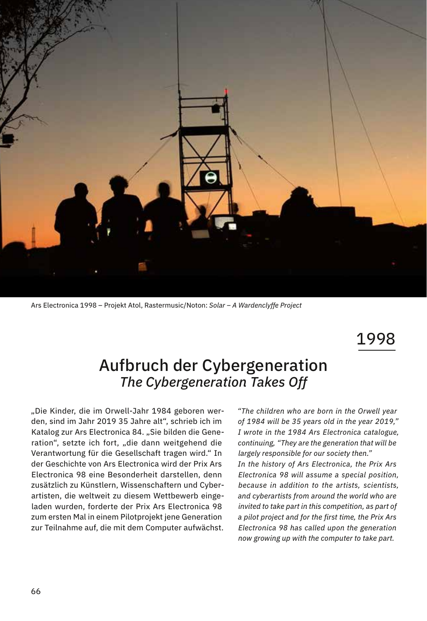

Ars Electronica 1998 – Projekt Atol, Rastermusic/Noton: *Solar – A Wardenclyffe Project*

1998

## Aufbruch der Cybergeneration *The Cybergeneration Takes Off*

"Die Kinder, die im Orwell-Jahr 1984 geboren werden, sind im Jahr 2019 35 Jahre alt", schrieb ich im Katalog zur Ars Electronica 84. "Sie bilden die Generation", setzte ich fort, "die dann weitgehend die Verantwortung für die Gesellschaft tragen wird." In der Geschichte von Ars Electronica wird der Prix Ars Electronica 98 eine Besonderheit darstellen, denn zusätzlich zu Künstlern, Wissenschaftern und Cyberartisten, die weltweit zu diesem Wettbewerb eingeladen wurden, forderte der Prix Ars Electronica 98 zum ersten Mal in einem Pilotprojekt jene Generation zur Teilnahme auf, die mit dem Computer aufwächst.  *"The children who are born in the Orwell year of 1984 will be 35 years old in the year 2019," I wrote in the 1984 Ars Electronica catalogue, continuing, "They are the generation that will be largely responsible for our society then." In the history of Ars Electronica, the Prix Ars Electronica 98 will assume a special position, because in addition to the artists, scientists, and cyberartists from around the world who are invited to take part in this competition, as part of a pilot project and for the first time, the Prix Ars Electronica 98 has called upon the generation now growing up with the computer to take part.*